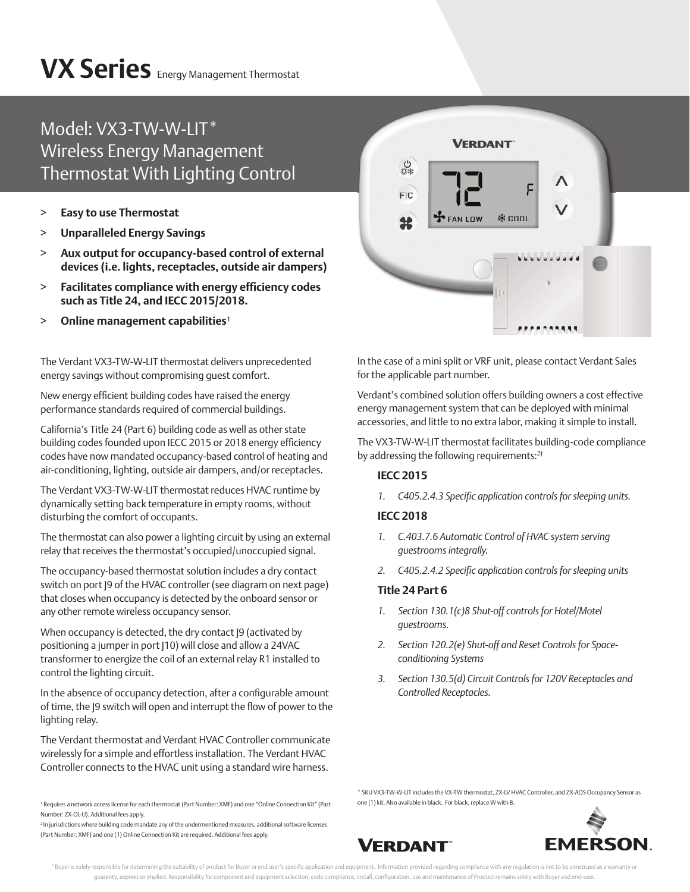# **VX Series** Energy Management Thermostat

### Model: VX3-TW-W-LIT\* Wireless Energy Management Thermostat With Lighting Control

- > **Easy to use Thermostat**
- > **Unparalleled Energy Savings**
- > **Aux output for occupancy-based control of external devices (i.e. lights, receptacles, outside air dampers)**
- $>$  **Facilitates compliance with energy efficiency codes such as Title 24, and IECC 2015/2018.**
- > Online management capabilities<sup>1</sup>

The Verdant VX3-TW-W-LIT thermostat delivers unprecedented energy savings without compromising guest comfort.

New energy efficient building codes have raised the energy performance standards required of commercial buildings.

California's Title 24 (Part 6) building code as well as other state building codes founded upon IECC 2015 or 2018 energy efficiency codes have now mandated occupancy-based control of heating and air-conditioning, lighting, outside air dampers, and/or receptacles.

The Verdant VX3-TW-W-LIT thermostat reduces HVAC runtime by dynamically setting back temperature in empty rooms, without disturbing the comfort of occupants.

The thermostat can also power a lighting circuit by using an external relay that receives the thermostat's occupied/unoccupied signal.

The occupancy-based thermostat solution includes a dry contact switch on port J9 of the HVAC controller (see diagram on next page) that closes when occupancy is detected by the onboard sensor or any other remote wireless occupancy sensor.

When occupancy is detected, the dry contact J9 (activated by positioning a jumper in port (10) will close and allow a 24VAC transformer to energize the coil of an external relay R1 installed to control the lighting circuit.

In the absence of occupancy detection, after a configurable amount of time, the J9 switch will open and interrupt the flow of power to the lighting relay.

The Verdant thermostat and Verdant HVAC Controller communicate wirelessly for a simple and effortless installation. The Verdant HVAC Controller connects to the HVAC unit using a standard wire harness.

<sup>2</sup>In jurisdictions where building code mandate any of the undermentioned measures, additional software licenses (Part Number: XMF) and one (1) Online Connection Kit are required. Additional fees apply.



In the case of a mini split or VRF unit, please contact Verdant Sales for the applicable part number.

Verdant's combined solution offers building owners a cost effective energy management system that can be deployed with minimal accessories, and little to no extra labor, making it simple to install.

The VX3-TW-W-LIT thermostat facilitates building-code compliance by addressing the following requirements:<sup>2†</sup>

#### **IECC 2015**

1. C405.2.4.3 Specific application controls for sleeping units.

#### **IECC 2018**

- *1. C.403.7.6 Automatic Control of HVAC system serving guestrooms integrally.*
- 2. C405.2.4.2 Specific application controls for sleeping units

#### **Title 24 Part 6**

- *1. Section 130.1(c)8 Shut-off controls for Hotel/Motel guestrooms.*
- *2. Section 120.2(e) Shut-off and Reset Controls for Spaceconditioning Systems*
- *3. Section 130.5(d) Circuit Controls for 120V Receptacles and Controlled Receptacles.*

\* SKU VX3-TW-W-LIT includes the VX-TW thermostat, ZX-LV HVAC Controller, and ZX-AOS Occupancy Sensor as one (1) kit. Also available in black. For black, replace W with B.





<sup>1</sup> Requires a network access license for each thermostat (Part Number: XMF) and one "Online Connection Kit" (Part Number: ZX-OL-U). Additional fees apply.